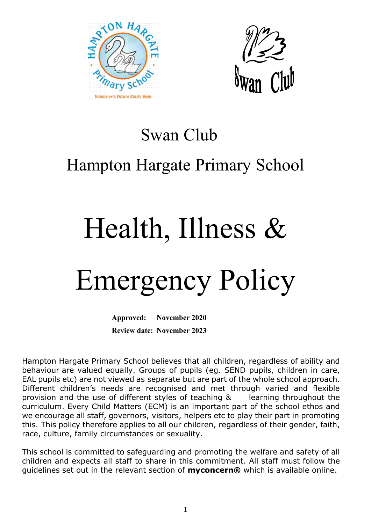



### Swan Club

## Hampton Hargate Primary School

# Health, Illness &

## Emergency Policy

**Approved: November 2020 Review date: November 2023**

Hampton Hargate Primary School believes that all children, regardless of ability and behaviour are valued equally. Groups of pupils (eg. SEND pupils, children in care, EAL pupils etc) are not viewed as separate but are part of the whole school approach. Different children's needs are recognised and met through varied and flexible provision and the use of different styles of teaching & learning throughout the curriculum. Every Child Matters (ECM) is an important part of the school ethos and we encourage all staff, governors, visitors, helpers etc to play their part in promoting this. This policy therefore applies to all our children, regardless of their gender, faith, race, culture, family circumstances or sexuality.

This school is committed to safeguarding and promoting the welfare and safety of all children and expects all staff to share in this commitment. All staff must follow the guidelines set out in the relevant section of **myconcern®** which is available online.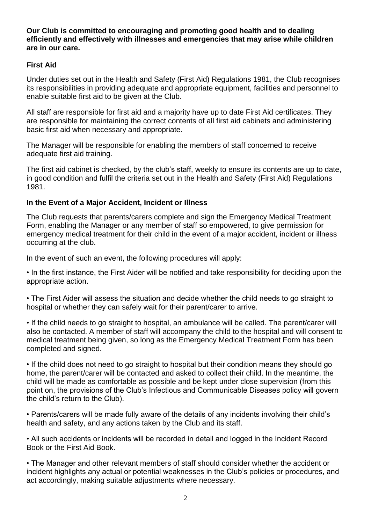**Our Club is committed to encouraging and promoting good health and to dealing efficiently and effectively with illnesses and emergencies that may arise while children are in our care.** 

#### **First Aid**

Under duties set out in the Health and Safety (First Aid) Regulations 1981, the Club recognises its responsibilities in providing adequate and appropriate equipment, facilities and personnel to enable suitable first aid to be given at the Club.

All staff are responsible for first aid and a majority have up to date First Aid certificates. They are responsible for maintaining the correct contents of all first aid cabinets and administering basic first aid when necessary and appropriate.

The Manager will be responsible for enabling the members of staff concerned to receive adequate first aid training.

The first aid cabinet is checked, by the club's staff, weekly to ensure its contents are up to date, in good condition and fulfil the criteria set out in the Health and Safety (First Aid) Regulations 1981.

#### **In the Event of a Major Accident, Incident or Illness**

The Club requests that parents/carers complete and sign the Emergency Medical Treatment Form, enabling the Manager or any member of staff so empowered, to give permission for emergency medical treatment for their child in the event of a major accident, incident or illness occurring at the club.

In the event of such an event, the following procedures will apply:

• In the first instance, the First Aider will be notified and take responsibility for deciding upon the appropriate action.

• The First Aider will assess the situation and decide whether the child needs to go straight to hospital or whether they can safely wait for their parent/carer to arrive.

• If the child needs to go straight to hospital, an ambulance will be called. The parent/carer will also be contacted. A member of staff will accompany the child to the hospital and will consent to medical treatment being given, so long as the Emergency Medical Treatment Form has been completed and signed.

• If the child does not need to go straight to hospital but their condition means they should go home, the parent/carer will be contacted and asked to collect their child. In the meantime, the child will be made as comfortable as possible and be kept under close supervision (from this point on, the provisions of the Club's Infectious and Communicable Diseases policy will govern the child's return to the Club).

• Parents/carers will be made fully aware of the details of any incidents involving their child's health and safety, and any actions taken by the Club and its staff.

• All such accidents or incidents will be recorded in detail and logged in the Incident Record Book or the First Aid Book.

• The Manager and other relevant members of staff should consider whether the accident or incident highlights any actual or potential weaknesses in the Club's policies or procedures, and act accordingly, making suitable adjustments where necessary.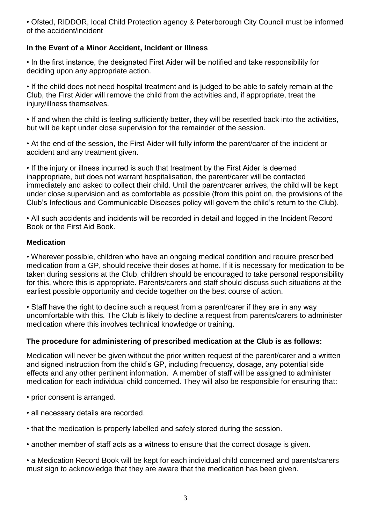• Ofsted, RIDDOR, local Child Protection agency & Peterborough City Council must be informed of the accident/incident

#### **In the Event of a Minor Accident, Incident or Illness**

• In the first instance, the designated First Aider will be notified and take responsibility for deciding upon any appropriate action.

• If the child does not need hospital treatment and is judged to be able to safely remain at the Club, the First Aider will remove the child from the activities and, if appropriate, treat the injury/illness themselves.

• If and when the child is feeling sufficiently better, they will be resettled back into the activities, but will be kept under close supervision for the remainder of the session.

• At the end of the session, the First Aider will fully inform the parent/carer of the incident or accident and any treatment given.

• If the injury or illness incurred is such that treatment by the First Aider is deemed inappropriate, but does not warrant hospitalisation, the parent/carer will be contacted immediately and asked to collect their child. Until the parent/carer arrives, the child will be kept under close supervision and as comfortable as possible (from this point on, the provisions of the Club's Infectious and Communicable Diseases policy will govern the child's return to the Club).

• All such accidents and incidents will be recorded in detail and logged in the Incident Record Book or the First Aid Book.

#### **Medication**

• Wherever possible, children who have an ongoing medical condition and require prescribed medication from a GP, should receive their doses at home. If it is necessary for medication to be taken during sessions at the Club, children should be encouraged to take personal responsibility for this, where this is appropriate. Parents/carers and staff should discuss such situations at the earliest possible opportunity and decide together on the best course of action.

• Staff have the right to decline such a request from a parent/carer if they are in any way uncomfortable with this. The Club is likely to decline a request from parents/carers to administer medication where this involves technical knowledge or training.

#### **The procedure for administering of prescribed medication at the Club is as follows:**

Medication will never be given without the prior written request of the parent/carer and a written and signed instruction from the child's GP, including frequency, dosage, any potential side effects and any other pertinent information. A member of staff will be assigned to administer medication for each individual child concerned. They will also be responsible for ensuring that:

- prior consent is arranged.
- all necessary details are recorded.
- that the medication is properly labelled and safely stored during the session.
- another member of staff acts as a witness to ensure that the correct dosage is given.

• a Medication Record Book will be kept for each individual child concerned and parents/carers must sign to acknowledge that they are aware that the medication has been given.